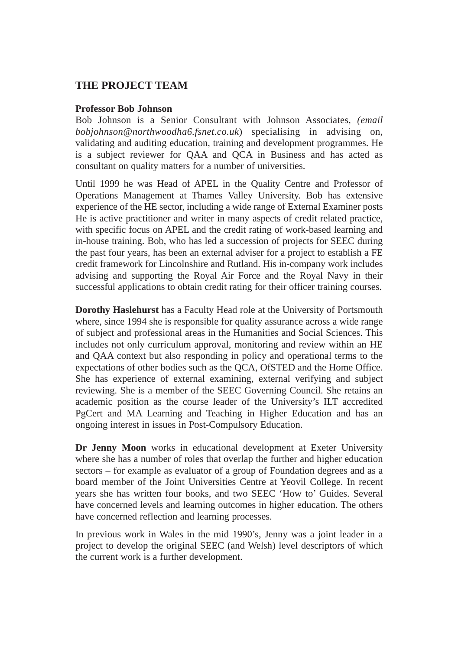## **THE PROJECT TEAM**

#### **Professor Bob Johnson**

Bob Johnson is a Senior Consultant with Johnson Associates*, (email bobjohnson@northwoodha6.fsnet.co.uk*) specialising in advising on, validating and auditing education, training and development programmes. He is a subject reviewer for QAA and QCA in Business and has acted as consultant on quality matters for a number of universities.

Until 1999 he was Head of APEL in the Quality Centre and Professor of Operations Management at Thames Valley University. Bob has extensive experience of the HE sector, including a wide range of External Examiner posts He is active practitioner and writer in many aspects of credit related practice, with specific focus on APEL and the credit rating of work-based learning and in-house training. Bob, who has led a succession of projects for SEEC during the past four years, has been an external adviser for a project to establish a FE credit framework for Lincolnshire and Rutland. His in-company work includes advising and supporting the Royal Air Force and the Royal Navy in their successful applications to obtain credit rating for their officer training courses.

**Dorothy Haslehurst** has a Faculty Head role at the University of Portsmouth where, since 1994 she is responsible for quality assurance across a wide range of subject and professional areas in the Humanities and Social Sciences. This includes not only curriculum approval, monitoring and review within an HE and QAA context but also responding in policy and operational terms to the expectations of other bodies such as the QCA, OfSTED and the Home Office. She has experience of external examining, external verifying and subject reviewing. She is a member of the SEEC Governing Council. She retains an academic position as the course leader of the University's ILT accredited PgCert and MA Learning and Teaching in Higher Education and has an ongoing interest in issues in Post-Compulsory Education.

**Dr Jenny Moon** works in educational development at Exeter University where she has a number of roles that overlap the further and higher education sectors – for example as evaluator of a group of Foundation degrees and as a board member of the Joint Universities Centre at Yeovil College. In recent years she has written four books, and two SEEC 'How to' Guides. Several have concerned levels and learning outcomes in higher education. The others have concerned reflection and learning processes.

In previous work in Wales in the mid 1990's, Jenny was a joint leader in a project to develop the original SEEC (and Welsh) level descriptors of which the current work is a further development.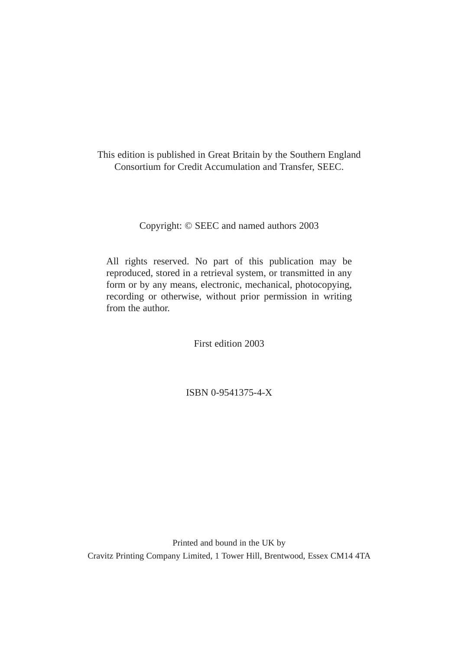This edition is published in Great Britain by the Southern England Consortium for Credit Accumulation and Transfer, SEEC.

Copyright: © SEEC and named authors 2003

All rights reserved. No part of this publication may be reproduced, stored in a retrieval system, or transmitted in any form or by any means, electronic, mechanical, photocopying, recording or otherwise, without prior permission in writing from the author.

First edition 2003

ISBN 0-9541375-4-X

Printed and bound in the UK by Cravitz Printing Company Limited, 1 Tower Hill, Brentwood, Essex CM14 4TA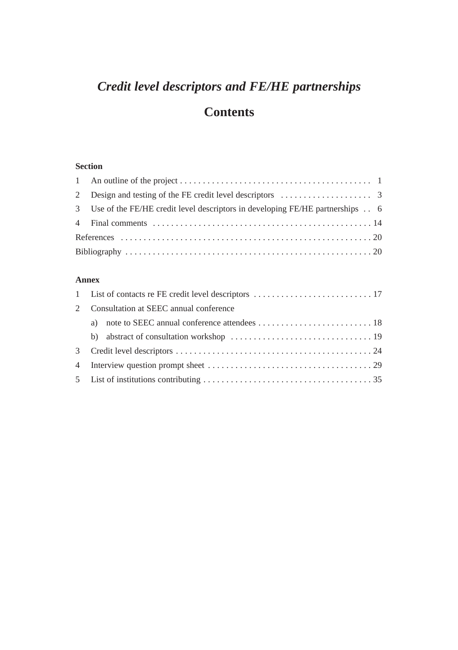# *Credit level descriptors and FE/HE partnerships*

# **Contents**

## **Section**

| 3 Use of the FE/HE credit level descriptors in developing FE/HE partnerships 6 |  |
|--------------------------------------------------------------------------------|--|
|                                                                                |  |
|                                                                                |  |
|                                                                                |  |

#### **Annex**

| $2^{\circ}$   | Consultation at SEEC annual conference |
|---------------|----------------------------------------|
|               |                                        |
|               |                                        |
| $\mathcal{E}$ |                                        |
|               |                                        |
|               |                                        |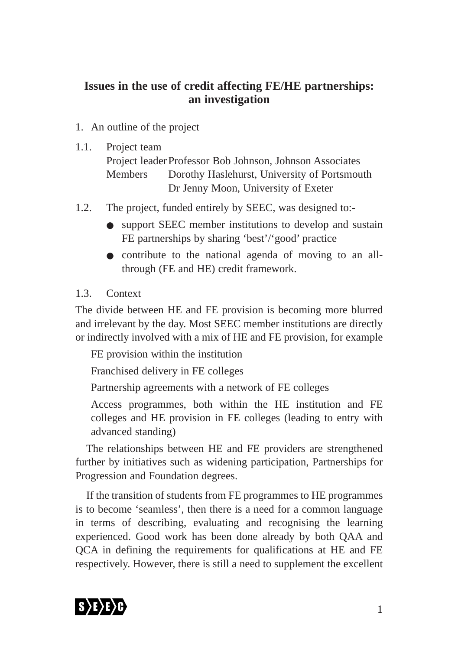# **Issues in the use of credit affecting FE/HE partnerships: an investigation**

- 1. An outline of the project
- 1.1. Project team

Project leaderProfessor Bob Johnson, Johnson Associates Members Dorothy Haslehurst, University of Portsmouth Dr Jenny Moon, University of Exeter

- 1.2. The project, funded entirely by SEEC, was designed to:-
	- support SEEC member institutions to develop and sustain FE partnerships by sharing 'best'/'good' practice
	- contribute to the national agenda of moving to an allthrough (FE and HE) credit framework.
- 1.3. Context

The divide between HE and FE provision is becoming more blurred and irrelevant by the day. Most SEEC member institutions are directly or indirectly involved with a mix of HE and FE provision, for example

FE provision within the institution

Franchised delivery in FE colleges

Partnership agreements with a network of FE colleges

Access programmes, both within the HE institution and FE colleges and HE provision in FE colleges (leading to entry with advanced standing)

The relationships between HE and FE providers are strengthened further by initiatives such as widening participation, Partnerships for Progression and Foundation degrees.

If the transition of students from FE programmes to HE programmes is to become 'seamless', then there is a need for a common language in terms of describing, evaluating and recognising the learning experienced. Good work has been done already by both QAA and QCA in defining the requirements for qualifications at HE and FE respectively. However, there is still a need to supplement the excellent

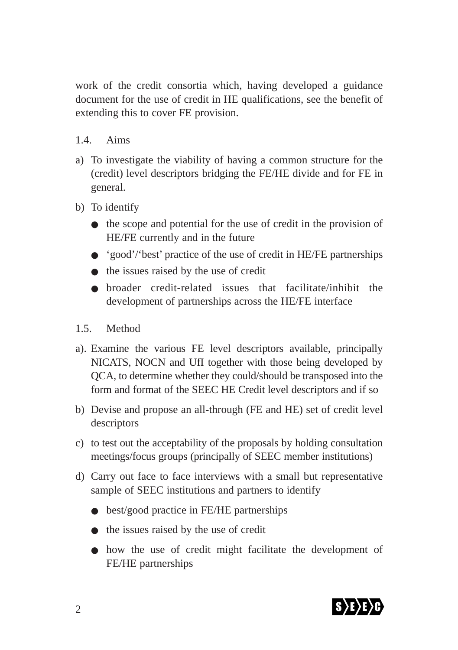work of the credit consortia which, having developed a guidance document for the use of credit in HE qualifications, see the benefit of extending this to cover FE provision.

- 1.4. Aims
- a) To investigate the viability of having a common structure for the (credit) level descriptors bridging the FE/HE divide and for FE in general.
- b) To identify
	- the scope and potential for the use of credit in the provision of HE/FE currently and in the future
	- 'good'/'best' practice of the use of credit in HE/FE partnerships
	- the issues raised by the use of credit
	- broader credit-related issues that facilitate/inhibit the development of partnerships across the HE/FE interface
- 1.5. Method
- a). Examine the various FE level descriptors available, principally NICATS, NOCN and UfI together with those being developed by QCA, to determine whether they could/should be transposed into the form and format of the SEEC HE Credit level descriptors and if so
- b) Devise and propose an all-through (FE and HE) set of credit level descriptors
- c) to test out the acceptability of the proposals by holding consultation meetings/focus groups (principally of SEEC member institutions)
- d) Carry out face to face interviews with a small but representative sample of SEEC institutions and partners to identify
	- best/good practice in FE/HE partnerships
	- the issues raised by the use of credit
	- how the use of credit might facilitate the development of FE/HE partnerships

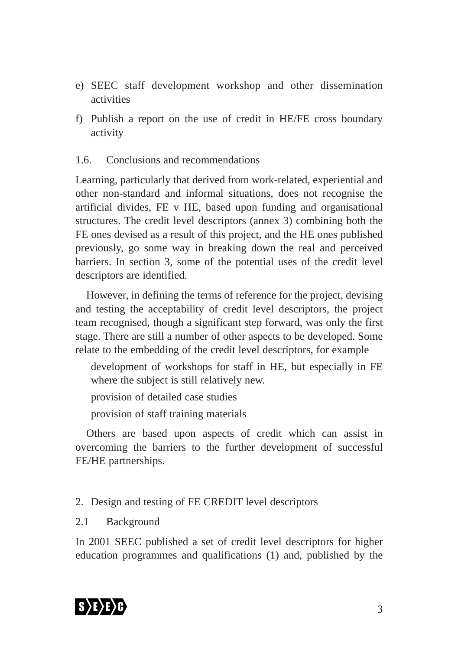- e) SEEC staff development workshop and other dissemination activities
- f) Publish a report on the use of credit in HE/FE cross boundary activity
- 1.6. Conclusions and recommendations

Learning, particularly that derived from work-related, experiential and other non-standard and informal situations, does not recognise the artificial divides, FE v HE, based upon funding and organisational structures. The credit level descriptors (annex 3) combining both the FE ones devised as a result of this project, and the HE ones published previously, go some way in breaking down the real and perceived barriers. In section 3, some of the potential uses of the credit level descriptors are identified.

However, in defining the terms of reference for the project, devising and testing the acceptability of credit level descriptors, the project team recognised, though a significant step forward, was only the first stage. There are still a number of other aspects to be developed. Some relate to the embedding of the credit level descriptors, for example

development of workshops for staff in HE, but especially in FE where the subject is still relatively new.

provision of detailed case studies

provision of staff training materials

Others are based upon aspects of credit which can assist in overcoming the barriers to the further development of successful FE/HE partnerships.

## 2. Design and testing of FE CREDIT level descriptors

2.1 Background

In 2001 SEEC published a set of credit level descriptors for higher education programmes and qualifications (1) and, published by the

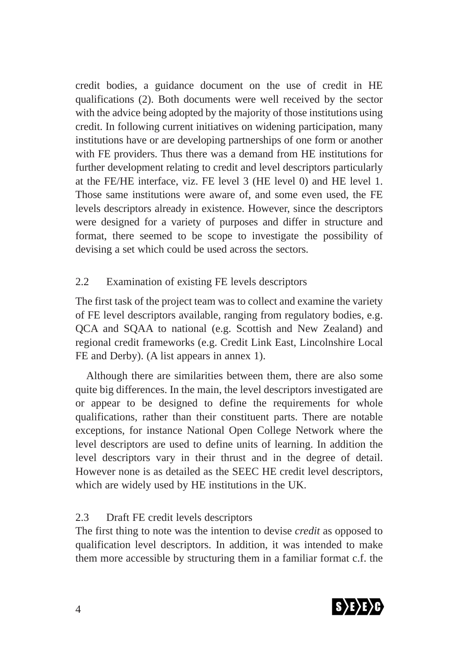credit bodies, a guidance document on the use of credit in HE qualifications (2). Both documents were well received by the sector with the advice being adopted by the majority of those institutions using credit. In following current initiatives on widening participation, many institutions have or are developing partnerships of one form or another with FE providers. Thus there was a demand from HE institutions for further development relating to credit and level descriptors particularly at the FE/HE interface, viz. FE level 3 (HE level 0) and HE level 1. Those same institutions were aware of, and some even used, the FE levels descriptors already in existence. However, since the descriptors were designed for a variety of purposes and differ in structure and format, there seemed to be scope to investigate the possibility of devising a set which could be used across the sectors.

## 2.2 Examination of existing FE levels descriptors

The first task of the project team was to collect and examine the variety of FE level descriptors available, ranging from regulatory bodies, e.g. QCA and SQAA to national (e.g. Scottish and New Zealand) and regional credit frameworks (e.g. Credit Link East, Lincolnshire Local FE and Derby). (A list appears in annex 1).

Although there are similarities between them, there are also some quite big differences. In the main, the level descriptors investigated are or appear to be designed to define the requirements for whole qualifications, rather than their constituent parts. There are notable exceptions, for instance National Open College Network where the level descriptors are used to define units of learning. In addition the level descriptors vary in their thrust and in the degree of detail. However none is as detailed as the SEEC HE credit level descriptors, which are widely used by HE institutions in the UK.

## 2.3 Draft FE credit levels descriptors

The first thing to note was the intention to devise *credit* as opposed to qualification level descriptors. In addition, it was intended to make them more accessible by structuring them in a familiar format c.f. the

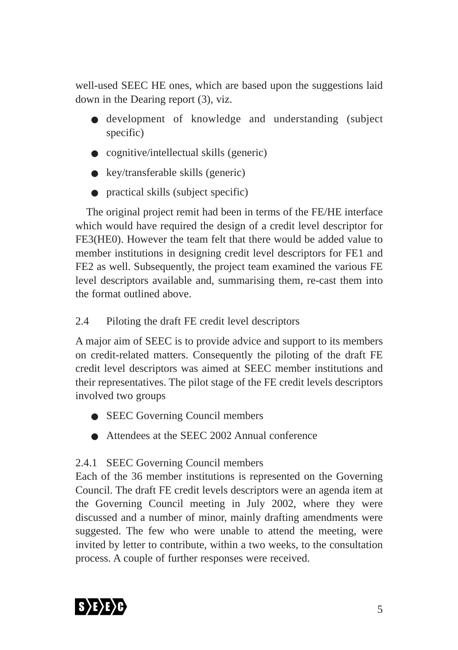well-used SEEC HE ones, which are based upon the suggestions laid down in the Dearing report (3), viz.

- development of knowledge and understanding (subject specific)
- cognitive/intellectual skills (generic)
- $\bullet$  key/transferable skills (generic)
- practical skills (subject specific)

The original project remit had been in terms of the FE/HE interface which would have required the design of a credit level descriptor for FE3(HE0). However the team felt that there would be added value to member institutions in designing credit level descriptors for FE1 and FE2 as well. Subsequently, the project team examined the various FE level descriptors available and, summarising them, re-cast them into the format outlined above.

# 2.4 Piloting the draft FE credit level descriptors

A major aim of SEEC is to provide advice and support to its members on credit-related matters. Consequently the piloting of the draft FE credit level descriptors was aimed at SEEC member institutions and their representatives. The pilot stage of the FE credit levels descriptors involved two groups

- SEEC Governing Council members
- Attendees at the SEEC 2002 Annual conference

# 2.4.1 SEEC Governing Council members

Each of the 36 member institutions is represented on the Governing Council. The draft FE credit levels descriptors were an agenda item at the Governing Council meeting in July 2002, where they were discussed and a number of minor, mainly drafting amendments were suggested. The few who were unable to attend the meeting, were invited by letter to contribute, within a two weeks, to the consultation process. A couple of further responses were received.

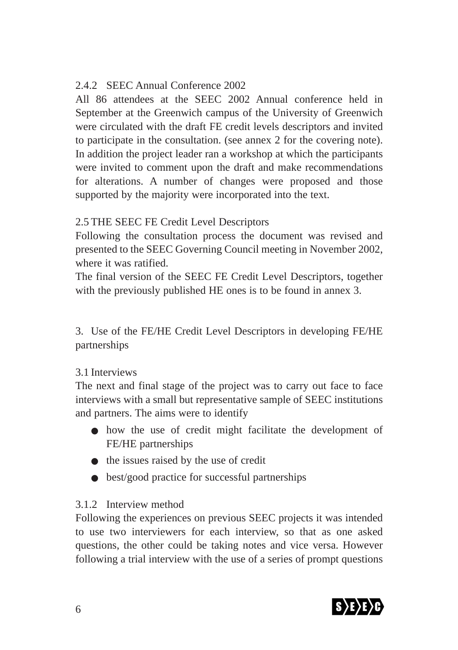# 2.4.2 SEEC Annual Conference 2002

All 86 attendees at the SEEC 2002 Annual conference held in September at the Greenwich campus of the University of Greenwich were circulated with the draft FE credit levels descriptors and invited to participate in the consultation. (see annex 2 for the covering note). In addition the project leader ran a workshop at which the participants were invited to comment upon the draft and make recommendations for alterations. A number of changes were proposed and those supported by the majority were incorporated into the text.

## 2.5 THE SEEC FE Credit Level Descriptors

Following the consultation process the document was revised and presented to the SEEC Governing Council meeting in November 2002, where it was ratified.

The final version of the SEEC FE Credit Level Descriptors, together with the previously published HE ones is to be found in annex 3.

3. Use of the FE/HE Credit Level Descriptors in developing FE/HE partnerships

## 3.1 Interviews

The next and final stage of the project was to carry out face to face interviews with a small but representative sample of SEEC institutions and partners. The aims were to identify

- how the use of credit might facilitate the development of FE/HE partnerships
- the issues raised by the use of credit
- $\bullet$  best/good practice for successful partnerships

# 3.1.2 Interview method

Following the experiences on previous SEEC projects it was intended to use two interviewers for each interview, so that as one asked questions, the other could be taking notes and vice versa. However following a trial interview with the use of a series of prompt questions

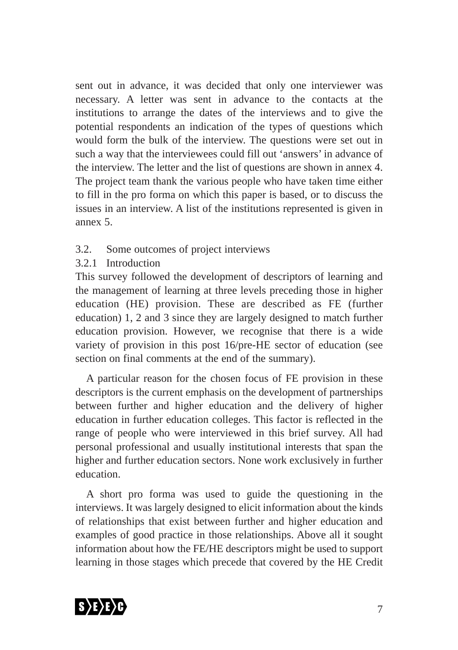sent out in advance, it was decided that only one interviewer was necessary. A letter was sent in advance to the contacts at the institutions to arrange the dates of the interviews and to give the potential respondents an indication of the types of questions which would form the bulk of the interview. The questions were set out in such a way that the interviewees could fill out 'answers' in advance of the interview. The letter and the list of questions are shown in annex 4. The project team thank the various people who have taken time either to fill in the pro forma on which this paper is based, or to discuss the issues in an interview. A list of the institutions represented is given in annex 5.

- 3.2. Some outcomes of project interviews
- 3.2.1 Introduction

This survey followed the development of descriptors of learning and the management of learning at three levels preceding those in higher education (HE) provision. These are described as FE (further education) 1, 2 and 3 since they are largely designed to match further education provision. However, we recognise that there is a wide variety of provision in this post 16/pre-HE sector of education (see section on final comments at the end of the summary).

A particular reason for the chosen focus of FE provision in these descriptors is the current emphasis on the development of partnerships between further and higher education and the delivery of higher education in further education colleges. This factor is reflected in the range of people who were interviewed in this brief survey. All had personal professional and usually institutional interests that span the higher and further education sectors. None work exclusively in further education.

A short pro forma was used to guide the questioning in the interviews. It was largely designed to elicit information about the kinds of relationships that exist between further and higher education and examples of good practice in those relationships. Above all it sought information about how the FE/HE descriptors might be used to support learning in those stages which precede that covered by the HE Credit

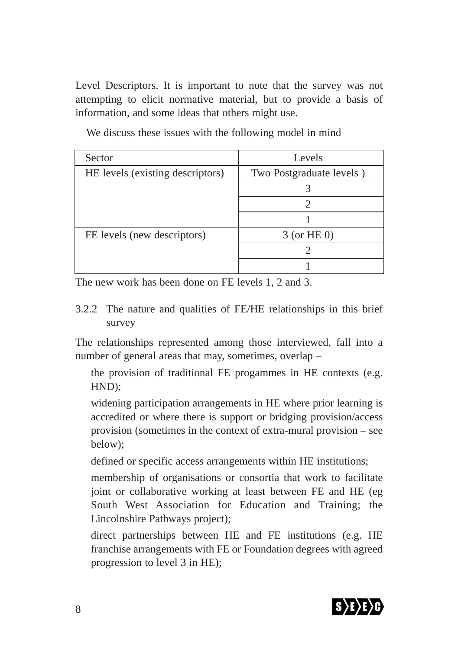Level Descriptors. It is important to note that the survey was not attempting to elicit normative material, but to provide a basis of information, and some ideas that others might use.

| Sector                           | Levels                   |
|----------------------------------|--------------------------|
| HE levels (existing descriptors) | Two Postgraduate levels) |
|                                  |                          |
|                                  |                          |
|                                  |                          |
| FE levels (new descriptors)      | $3$ (or HE 0)            |
|                                  |                          |
|                                  |                          |

We discuss these issues with the following model in mind

The new work has been done on FE levels 1, 2 and 3.

3.2.2 The nature and qualities of FE/HE relationships in this brief survey

The relationships represented among those interviewed, fall into a number of general areas that may, sometimes, overlap –

the provision of traditional FE progammes in HE contexts (e.g. HND);

widening participation arrangements in HE where prior learning is accredited or where there is support or bridging provision/access provision (sometimes in the context of extra-mural provision – see below);

defined or specific access arrangements within HE institutions;

membership of organisations or consortia that work to facilitate joint or collaborative working at least between FE and HE (eg South West Association for Education and Training; the Lincolnshire Pathways project);

direct partnerships between HE and FE institutions (e.g. HE franchise arrangements with FE or Foundation degrees with agreed progression to level 3 in HE);

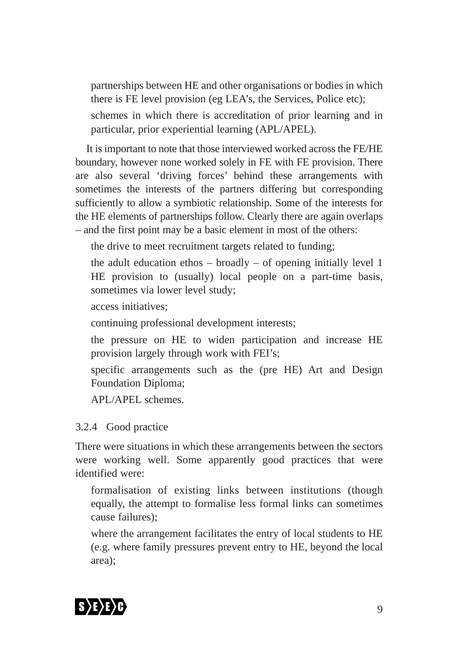partnerships between HE and other organisations or bodies in which there is FE level provision (eg LEA's, the Services, Police etc);

schemes in which there is accreditation of prior learning and in particular, prior experiential learning (APL/APEL).

It is important to note that those interviewed worked across the FE/HE boundary, however none worked solely in FE with FE provision. There are also several 'driving forces' behind these arrangements with sometimes the interests of the partners differing but corresponding sufficiently to allow a symbiotic relationship. Some of the interests for the HE elements of partnerships follow. Clearly there are again overlaps – and the first point may be a basic element in most of the others:

the drive to meet recruitment targets related to funding;

the adult education ethos – broadly – of opening initially level 1 HE provision to (usually) local people on a part-time basis, sometimes via lower level study;

access initiatives;

continuing professional development interests;

the pressure on HE to widen participation and increase HE provision largely through work with FEI's;

specific arrangements such as the (pre HE) Art and Design Foundation Diploma;

APL/APEL schemes.

## 3.2.4 Good practice

There were situations in which these arrangements between the sectors were working well. Some apparently good practices that were identified were:

formalisation of existing links between institutions (though equally, the attempt to formalise less formal links can sometimes cause failures);

where the arrangement facilitates the entry of local students to HE (e.g. where family pressures prevent entry to HE, beyond the local area);

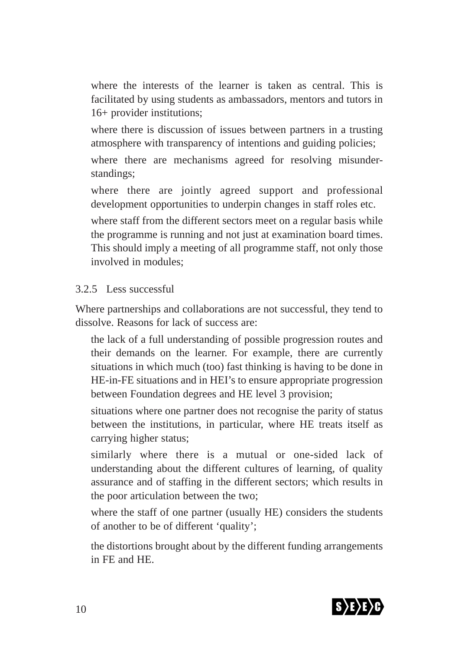where the interests of the learner is taken as central. This is facilitated by using students as ambassadors, mentors and tutors in 16+ provider institutions;

where there is discussion of issues between partners in a trusting atmosphere with transparency of intentions and guiding policies;

where there are mechanisms agreed for resolving misunderstandings;

where there are jointly agreed support and professional development opportunities to underpin changes in staff roles etc.

where staff from the different sectors meet on a regular basis while the programme is running and not just at examination board times. This should imply a meeting of all programme staff, not only those involved in modules;

# 3.2.5 Less successful

Where partnerships and collaborations are not successful, they tend to dissolve. Reasons for lack of success are:

the lack of a full understanding of possible progression routes and their demands on the learner. For example, there are currently situations in which much (too) fast thinking is having to be done in HE-in-FE situations and in HEI's to ensure appropriate progression between Foundation degrees and HE level 3 provision;

situations where one partner does not recognise the parity of status between the institutions, in particular, where HE treats itself as carrying higher status;

similarly where there is a mutual or one-sided lack of understanding about the different cultures of learning, of quality assurance and of staffing in the different sectors; which results in the poor articulation between the two;

where the staff of one partner (usually HE) considers the students of another to be of different 'quality';

the distortions brought about by the different funding arrangements in FE and HE.

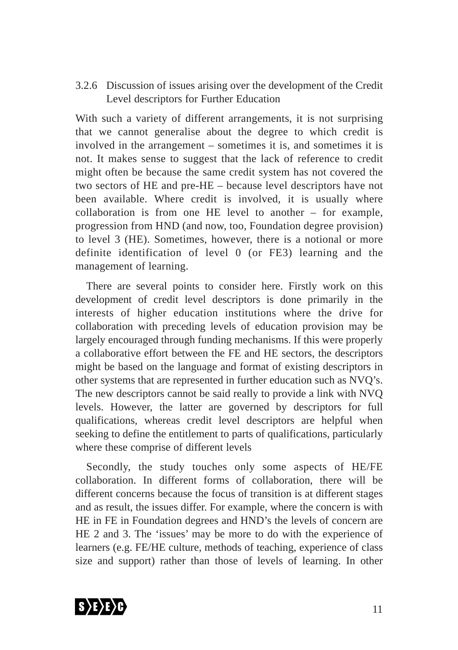3.2.6 Discussion of issues arising over the development of the Credit Level descriptors for Further Education

With such a variety of different arrangements, it is not surprising that we cannot generalise about the degree to which credit is involved in the arrangement – sometimes it is, and sometimes it is not. It makes sense to suggest that the lack of reference to credit might often be because the same credit system has not covered the two sectors of HE and pre-HE – because level descriptors have not been available. Where credit is involved, it is usually where collaboration is from one HE level to another – for example, progression from HND (and now, too, Foundation degree provision) to level 3 (HE). Sometimes, however, there is a notional or more definite identification of level 0 (or FE3) learning and the management of learning.

There are several points to consider here. Firstly work on this development of credit level descriptors is done primarily in the interests of higher education institutions where the drive for collaboration with preceding levels of education provision may be largely encouraged through funding mechanisms. If this were properly a collaborative effort between the FE and HE sectors, the descriptors might be based on the language and format of existing descriptors in other systems that are represented in further education such as NVQ's. The new descriptors cannot be said really to provide a link with NVQ levels. However, the latter are governed by descriptors for full qualifications, whereas credit level descriptors are helpful when seeking to define the entitlement to parts of qualifications, particularly where these comprise of different levels

Secondly, the study touches only some aspects of HE/FE collaboration. In different forms of collaboration, there will be different concerns because the focus of transition is at different stages and as result, the issues differ. For example, where the concern is with HE in FE in Foundation degrees and HND's the levels of concern are HE 2 and 3. The 'issues' may be more to do with the experience of learners (e.g. FE/HE culture, methods of teaching, experience of class size and support) rather than those of levels of learning. In other

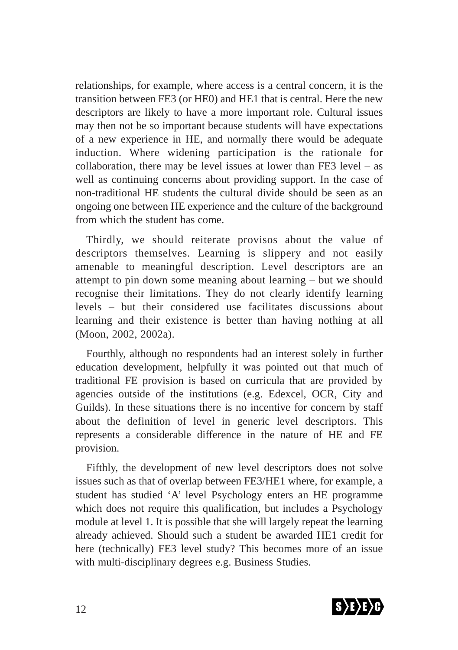relationships, for example, where access is a central concern, it is the transition between FE3 (or HE0) and HE1 that is central. Here the new descriptors are likely to have a more important role. Cultural issues may then not be so important because students will have expectations of a new experience in HE, and normally there would be adequate induction. Where widening participation is the rationale for collaboration, there may be level issues at lower than FE3 level – as well as continuing concerns about providing support. In the case of non-traditional HE students the cultural divide should be seen as an ongoing one between HE experience and the culture of the background from which the student has come.

Thirdly, we should reiterate provisos about the value of descriptors themselves. Learning is slippery and not easily amenable to meaningful description. Level descriptors are an attempt to pin down some meaning about learning – but we should recognise their limitations. They do not clearly identify learning levels – but their considered use facilitates discussions about learning and their existence is better than having nothing at all (Moon, 2002, 2002a).

Fourthly, although no respondents had an interest solely in further education development, helpfully it was pointed out that much of traditional FE provision is based on curricula that are provided by agencies outside of the institutions (e.g. Edexcel, OCR, City and Guilds). In these situations there is no incentive for concern by staff about the definition of level in generic level descriptors. This represents a considerable difference in the nature of HE and FE provision.

Fifthly, the development of new level descriptors does not solve issues such as that of overlap between FE3/HE1 where, for example, a student has studied 'A' level Psychology enters an HE programme which does not require this qualification, but includes a Psychology module at level 1. It is possible that she will largely repeat the learning already achieved. Should such a student be awarded HE1 credit for here (technically) FE3 level study? This becomes more of an issue with multi-disciplinary degrees e.g. Business Studies.

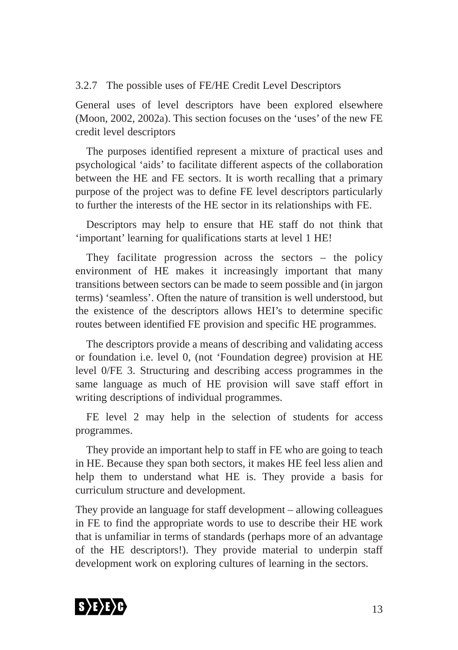## 3.2.7 The possible uses of FE/HE Credit Level Descriptors

General uses of level descriptors have been explored elsewhere (Moon, 2002, 2002a). This section focuses on the 'uses' of the new FE credit level descriptors

The purposes identified represent a mixture of practical uses and psychological 'aids' to facilitate different aspects of the collaboration between the HE and FE sectors. It is worth recalling that a primary purpose of the project was to define FE level descriptors particularly to further the interests of the HE sector in its relationships with FE.

Descriptors may help to ensure that HE staff do not think that 'important' learning for qualifications starts at level 1 HE!

They facilitate progression across the sectors – the policy environment of HE makes it increasingly important that many transitions between sectors can be made to seem possible and (in jargon terms) 'seamless'. Often the nature of transition is well understood, but the existence of the descriptors allows HEI's to determine specific routes between identified FE provision and specific HE programmes.

The descriptors provide a means of describing and validating access or foundation i.e. level 0, (not 'Foundation degree) provision at HE level 0/FE 3. Structuring and describing access programmes in the same language as much of HE provision will save staff effort in writing descriptions of individual programmes.

FE level 2 may help in the selection of students for access programmes.

They provide an important help to staff in FE who are going to teach in HE. Because they span both sectors, it makes HE feel less alien and help them to understand what HE is. They provide a basis for curriculum structure and development.

They provide an language for staff development – allowing colleagues in FE to find the appropriate words to use to describe their HE work that is unfamiliar in terms of standards (perhaps more of an advantage of the HE descriptors!). They provide material to underpin staff development work on exploring cultures of learning in the sectors.

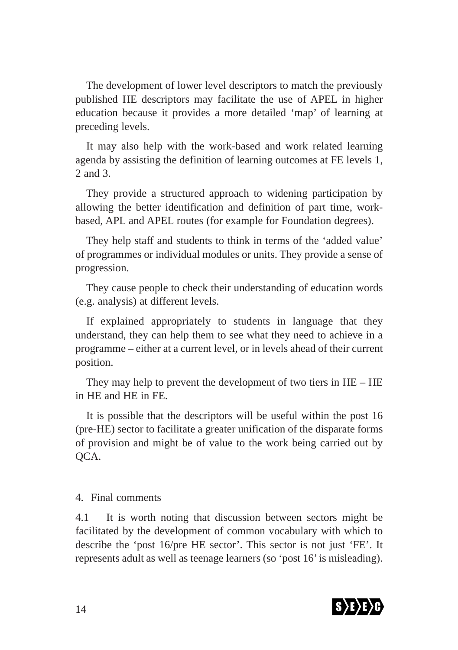The development of lower level descriptors to match the previously published HE descriptors may facilitate the use of APEL in higher education because it provides a more detailed 'map' of learning at preceding levels.

It may also help with the work-based and work related learning agenda by assisting the definition of learning outcomes at FE levels 1, 2 and 3.

They provide a structured approach to widening participation by allowing the better identification and definition of part time, workbased, APL and APEL routes (for example for Foundation degrees).

They help staff and students to think in terms of the 'added value' of programmes or individual modules or units. They provide a sense of progression.

They cause people to check their understanding of education words (e.g. analysis) at different levels.

If explained appropriately to students in language that they understand, they can help them to see what they need to achieve in a programme – either at a current level, or in levels ahead of their current position.

They may help to prevent the development of two tiers in HE – HE in HE and HE in FE.

It is possible that the descriptors will be useful within the post 16 (pre-HE) sector to facilitate a greater unification of the disparate forms of provision and might be of value to the work being carried out by QCA.

## 4. Final comments

4.1 It is worth noting that discussion between sectors might be facilitated by the development of common vocabulary with which to describe the 'post 16/pre HE sector'. This sector is not just 'FE'. It represents adult as well as teenage learners (so 'post 16'is misleading).

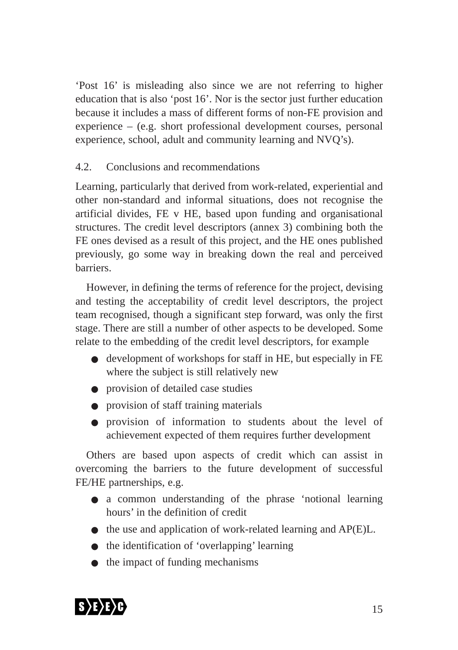'Post 16' is misleading also since we are not referring to higher education that is also 'post 16'. Nor is the sector just further education because it includes a mass of different forms of non-FE provision and experience – (e.g. short professional development courses, personal experience, school, adult and community learning and NVQ's).

# 4.2. Conclusions and recommendations

Learning, particularly that derived from work-related, experiential and other non-standard and informal situations, does not recognise the artificial divides, FE v HE, based upon funding and organisational structures. The credit level descriptors (annex 3) combining both the FE ones devised as a result of this project, and the HE ones published previously, go some way in breaking down the real and perceived barriers.

However, in defining the terms of reference for the project, devising and testing the acceptability of credit level descriptors, the project team recognised, though a significant step forward, was only the first stage. There are still a number of other aspects to be developed. Some relate to the embedding of the credit level descriptors, for example

- development of workshops for staff in HE, but especially in FE where the subject is still relatively new
- provision of detailed case studies
- provision of staff training materials
- provision of information to students about the level of achievement expected of them requires further development

Others are based upon aspects of credit which can assist in overcoming the barriers to the future development of successful FE/HE partnerships, e.g.

- a common understanding of the phrase 'notional learning hours' in the definition of credit
- the use and application of work-related learning and AP(E)L.
- the identification of 'overlapping' learning
- the impact of funding mechanisms

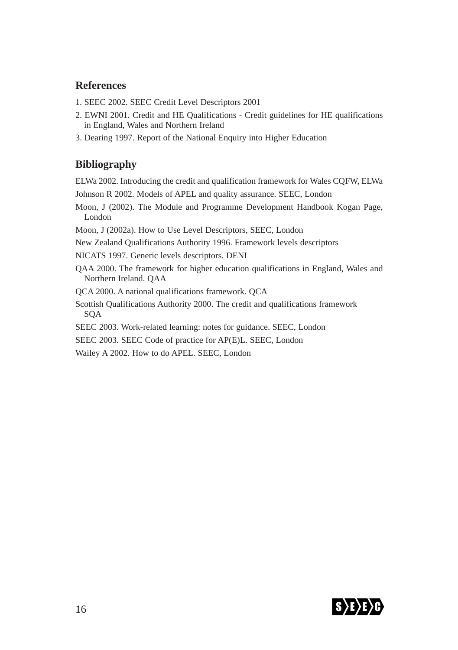## **References**

- 1. SEEC 2002. SEEC Credit Level Descriptors 2001
- 2. EWNI 2001. Credit and HE Qualifications Credit guidelines for HE qualifications in England, Wales and Northern Ireland
- 3. Dearing 1997. Report of the National Enquiry into Higher Education

## **Bibliography**

ELWa 2002. Introducing the credit and qualification framework for Wales CQFW, ELWa

Johnson R 2002. Models of APEL and quality assurance. SEEC, London

Moon, J (2002). The Module and Programme Development Handbook Kogan Page, London

Moon, J (2002a). How to Use Level Descriptors, SEEC, London

New Zealand Qualifications Authority 1996. Framework levels descriptors

NICATS 1997. Generic levels descriptors. DENI

QAA 2000. The framework for higher education qualifications in England, Wales and Northern Ireland. QAA

QCA 2000. A national qualifications framework. QCA

Scottish Qualifications Authority 2000. The credit and qualifications framework SQA

SEEC 2003. Work-related learning: notes for guidance. SEEC, London

SEEC 2003. SEEC Code of practice for AP(E)L. SEEC, London

Wailey A 2002. How to do APEL. SEEC, London

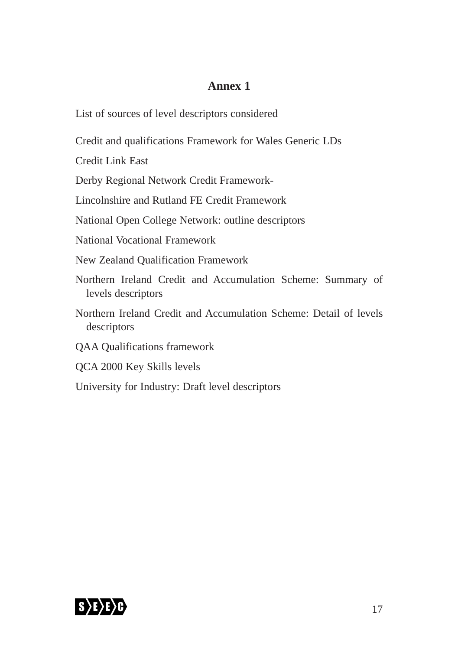List of sources of level descriptors considered

Credit and qualifications Framework for Wales Generic LDs

Credit Link East

Derby Regional Network Credit Framework-

Lincolnshire and Rutland FE Credit Framework

National Open College Network: outline descriptors

National Vocational Framework

New Zealand Qualification Framework

Northern Ireland Credit and Accumulation Scheme: Summary of levels descriptors

Northern Ireland Credit and Accumulation Scheme: Detail of levels descriptors

QAA Qualifications framework

QCA 2000 Key Skills levels

University for Industry: Draft level descriptors

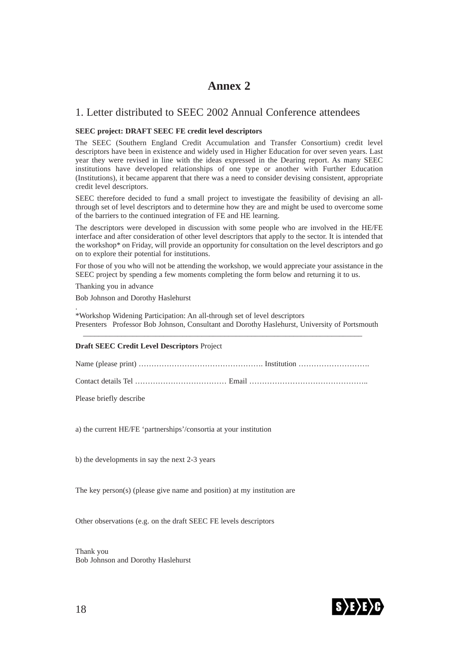### 1. Letter distributed to SEEC 2002 Annual Conference attendees

#### **SEEC project: DRAFT SEEC FE credit level descriptors**

The SEEC (Southern England Credit Accumulation and Transfer Consortium) credit level descriptors have been in existence and widely used in Higher Education for over seven years. Last year they were revised in line with the ideas expressed in the Dearing report. As many SEEC institutions have developed relationships of one type or another with Further Education (Institutions), it became apparent that there was a need to consider devising consistent, appropriate credit level descriptors.

SEEC therefore decided to fund a small project to investigate the feasibility of devising an allthrough set of level descriptors and to determine how they are and might be used to overcome some of the barriers to the continued integration of FE and HE learning.

The descriptors were developed in discussion with some people who are involved in the HE/FE interface and after consideration of other level descriptors that apply to the sector. It is intended that the workshop\* on Friday, will provide an opportunity for consultation on the level descriptors and go on to explore their potential for institutions.

For those of you who will not be attending the workshop, we would appreciate your assistance in the SEEC project by spending a few moments completing the form below and returning it to us.

Thanking you in advance

.

Bob Johnson and Dorothy Haslehurst

\*Workshop Widening Participation: An all-through set of level descriptors Presenters Professor Bob Johnson, Consultant and Dorothy Haslehurst, University of Portsmouth \_\_\_\_\_\_\_\_\_\_\_\_\_\_\_\_\_\_\_\_\_\_\_\_\_\_\_\_\_\_\_\_\_\_\_\_\_\_\_\_\_\_\_\_\_\_\_\_\_\_\_\_\_\_\_\_\_\_\_\_\_\_\_\_\_\_\_\_\_\_\_\_\_

#### **Draft SEEC Credit Level Descriptors** Project

|--|--|

Contact details Tel ……………………………… Email ………………………………………..

Please briefly describe

a) the current HE/FE 'partnerships'/consortia at your institution

b) the developments in say the next 2-3 years

The key person(s) (please give name and position) at my institution are

Other observations (e.g. on the draft SEEC FE levels descriptors

Thank you Bob Johnson and Dorothy Haslehurst

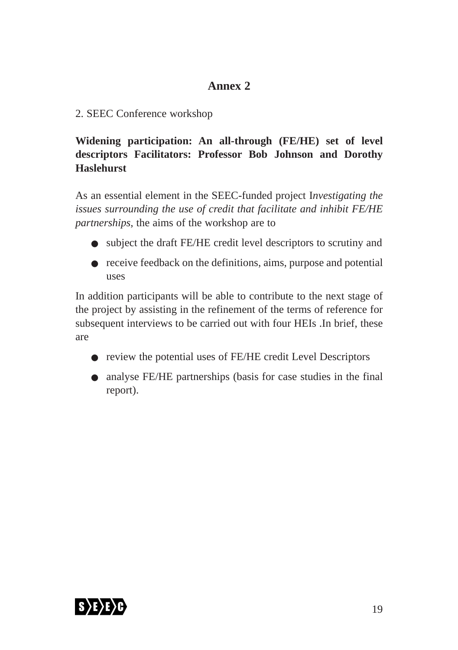# 2. SEEC Conference workshop

# **Widening participation: An all-through (FE/HE) set of level descriptors Facilitators: Professor Bob Johnson and Dorothy Haslehurst**

As an essential element in the SEEC-funded project I*nvestigating the issues surrounding the use of credit that facilitate and inhibit FE/HE partnerships*, the aims of the workshop are to

- subject the draft FE/HE credit level descriptors to scrutiny and
- receive feedback on the definitions, aims, purpose and potential uses

In addition participants will be able to contribute to the next stage of the project by assisting in the refinement of the terms of reference for subsequent interviews to be carried out with four HEIs .In brief, these are

- review the potential uses of FE/HE credit Level Descriptors
- analyse FE/HE partnerships (basis for case studies in the final report).

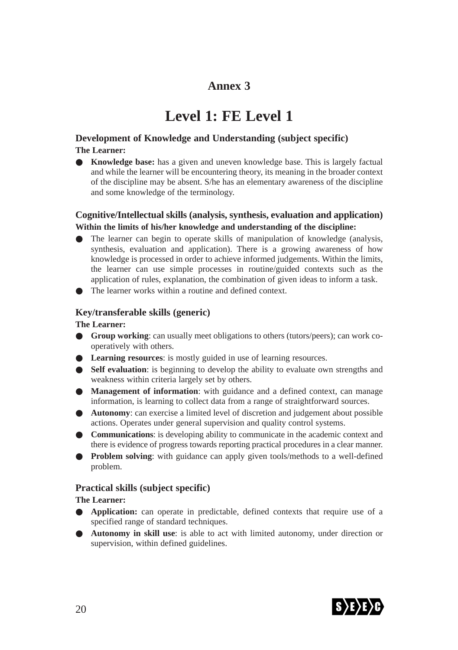# **Level 1: FE Level 1**

## **Development of Knowledge and Understanding (subject specific) The Learner:**

● **Knowledge base:** has a given and uneven knowledge base. This is largely factual and while the learner will be encountering theory, its meaning in the broader context of the discipline may be absent. S/he has an elementary awareness of the discipline and some knowledge of the terminology.

### **Cognitive/Intellectual skills (analysis, synthesis, evaluation and application) Within the limits of his/her knowledge and understanding of the discipline:**

- The learner can begin to operate skills of manipulation of knowledge (analysis, synthesis, evaluation and application). There is a growing awareness of how knowledge is processed in order to achieve informed judgements. Within the limits, the learner can use simple processes in routine/guided contexts such as the application of rules, explanation, the combination of given ideas to inform a task.
- The learner works within a routine and defined context.

#### **Key/transferable skills (generic)**

#### **The Learner:**

- **Group working**: can usually meet obligations to others (tutors/peers); can work cooperatively with others.
- **Learning resources**: is mostly guided in use of learning resources.
- **Self evaluation**: is beginning to develop the ability to evaluate own strengths and weakness within criteria largely set by others.
- **Management of information**: with guidance and a defined context, can manage information, is learning to collect data from a range of straightforward sources.
- **Autonomy**: can exercise a limited level of discretion and judgement about possible actions. Operates under general supervision and quality control systems.
- **Communications**: is developing ability to communicate in the academic context and there is evidence of progress towards reporting practical procedures in a clear manner.
- **Problem solving**: with guidance can apply given tools/methods to a well-defined problem.

#### **Practical skills (subject specific)**

- **Application:** can operate in predictable, defined contexts that require use of a specified range of standard techniques.
- **Autonomy in skill use**: is able to act with limited autonomy, under direction or supervision, within defined guidelines.

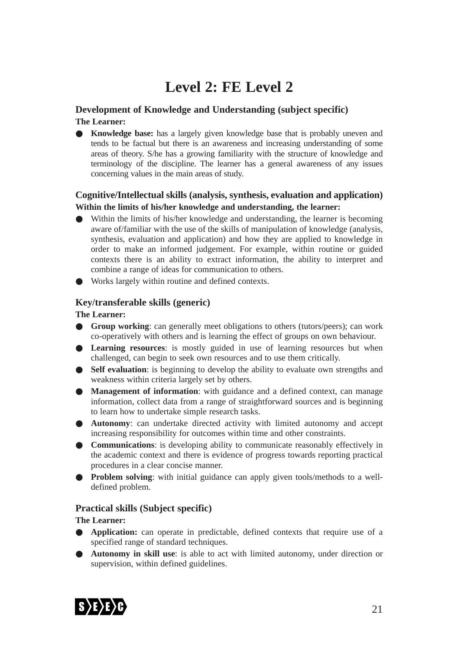# **Level 2: FE Level 2**

## **Development of Knowledge and Understanding (subject specific) The Learner:**

● **Knowledge base:** has a largely given knowledge base that is probably uneven and tends to be factual but there is an awareness and increasing understanding of some areas of theory. S/he has a growing familiarity with the structure of knowledge and terminology of the discipline. The learner has a general awareness of any issues concerning values in the main areas of study.

## **Cognitive/Intellectual skills (analysis, synthesis, evaluation and application) Within the limits of his/her knowledge and understanding, the learner:**

- Within the limits of his/her knowledge and understanding, the learner is becoming aware of/familiar with the use of the skills of manipulation of knowledge (analysis, synthesis, evaluation and application) and how they are applied to knowledge in order to make an informed judgement. For example, within routine or guided contexts there is an ability to extract information, the ability to interpret and combine a range of ideas for communication to others.
- Works largely within routine and defined contexts.

#### **Key/transferable skills (generic)**

#### **The Learner:**

- **Group working**: can generally meet obligations to others (tutors/peers); can work co-operatively with others and is learning the effect of groups on own behaviour.
- **Learning resources**: is mostly guided in use of learning resources but when challenged, can begin to seek own resources and to use them critically.
- **Self evaluation**: is beginning to develop the ability to evaluate own strengths and weakness within criteria largely set by others.
- **Management of information**: with guidance and a defined context, can manage information, collect data from a range of straightforward sources and is beginning to learn how to undertake simple research tasks.
- **Autonomy**: can undertake directed activity with limited autonomy and accept increasing responsibility for outcomes within time and other constraints.
- **Communications**: is developing ability to communicate reasonably effectively in the academic context and there is evidence of progress towards reporting practical procedures in a clear concise manner.
- **Problem solving**: with initial guidance can apply given tools/methods to a welldefined problem.

#### **Practical skills (Subject specific)**

- **Application:** can operate in predictable, defined contexts that require use of a specified range of standard techniques.
- **Autonomy in skill use**: is able to act with limited autonomy, under direction or supervision, within defined guidelines.

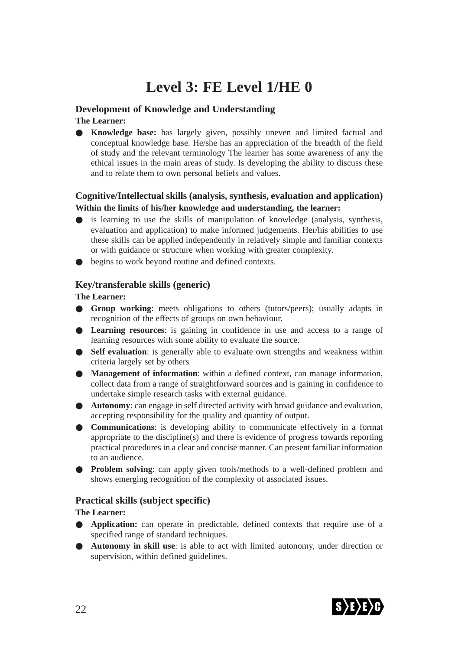# **Level 3: FE Level 1/HE 0**

#### **Development of Knowledge and Understanding The Learner:**

● **Knowledge base:** has largely given, possibly uneven and limited factual and conceptual knowledge base. He/she has an appreciation of the breadth of the field of study and the relevant terminology The learner has some awareness of any the ethical issues in the main areas of study. Is developing the ability to discuss these and to relate them to own personal beliefs and values.

## **Cognitive/Intellectual skills (analysis, synthesis, evaluation and application) Within the limits of his/her knowledge and understanding, the learner:**

- is learning to use the skills of manipulation of knowledge (analysis, synthesis, evaluation and application) to make informed judgements. Her/his abilities to use these skills can be applied independently in relatively simple and familiar contexts or with guidance or structure when working with greater complexity.
- begins to work beyond routine and defined contexts.

#### **Key/transferable skills (generic)**

#### **The Learner:**

- **Group working**: meets obligations to others (tutors/peers); usually adapts in recognition of the effects of groups on own behaviour.
- **Learning resources**: is gaining in confidence in use and access to a range of learning resources with some ability to evaluate the source.
- **Self evaluation**: is generally able to evaluate own strengths and weakness within criteria largely set by others
- **Management of information**: within a defined context, can manage information, collect data from a range of straightforward sources and is gaining in confidence to undertake simple research tasks with external guidance.
- **Autonomy**: can engage in self directed activity with broad guidance and evaluation, accepting responsibility for the quality and quantity of output.
- **Communications**: is developing ability to communicate effectively in a format appropriate to the discipline(s) and there is evidence of progress towards reporting practical procedures in a clear and concise manner. Can present familiar information to an audience.
- Problem solving: can apply given tools/methods to a well-defined problem and shows emerging recognition of the complexity of associated issues.

#### **Practical skills (subject specific)**

- Application: can operate in predictable, defined contexts that require use of a specified range of standard techniques.
- **Autonomy in skill use**: is able to act with limited autonomy, under direction or supervision, within defined guidelines.

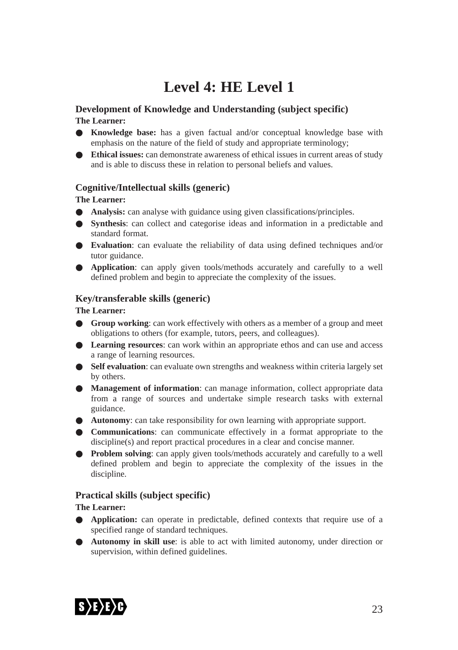# **Level 4: HE Level 1**

## **Development of Knowledge and Understanding (subject specific) The Learner:**

- **Knowledge base:** has a given factual and/or conceptual knowledge base with emphasis on the nature of the field of study and appropriate terminology;
- **Ethical issues:** can demonstrate awareness of ethical issues in current areas of study and is able to discuss these in relation to personal beliefs and values.

#### **Cognitive/Intellectual skills (generic)**

#### **The Learner:**

- Analysis: can analyse with guidance using given classifications/principles.
- **Synthesis**: can collect and categorise ideas and information in a predictable and standard format.
- **Evaluation**: can evaluate the reliability of data using defined techniques and/or tutor guidance.
- **Application**: can apply given tools/methods accurately and carefully to a well defined problem and begin to appreciate the complexity of the issues.

#### **Key/transferable skills (generic)**

#### **The Learner:**

- **Group working**: can work effectively with others as a member of a group and meet obligations to others (for example, tutors, peers, and colleagues).
- **Learning resources**: can work within an appropriate ethos and can use and access a range of learning resources.
- **Self evaluation**: can evaluate own strengths and weakness within criteria largely set by others.
- **Management of information**: can manage information, collect appropriate data from a range of sources and undertake simple research tasks with external guidance.
- **Autonomy**: can take responsibility for own learning with appropriate support.
- **Communications**: can communicate effectively in a format appropriate to the discipline(s) and report practical procedures in a clear and concise manner.
- **Problem solving**: can apply given tools/methods accurately and carefully to a well defined problem and begin to appreciate the complexity of the issues in the discipline.

#### **Practical skills (subject specific)**

- Application: can operate in predictable, defined contexts that require use of a specified range of standard techniques.
- **Autonomy in skill use**: is able to act with limited autonomy, under direction or supervision, within defined guidelines.

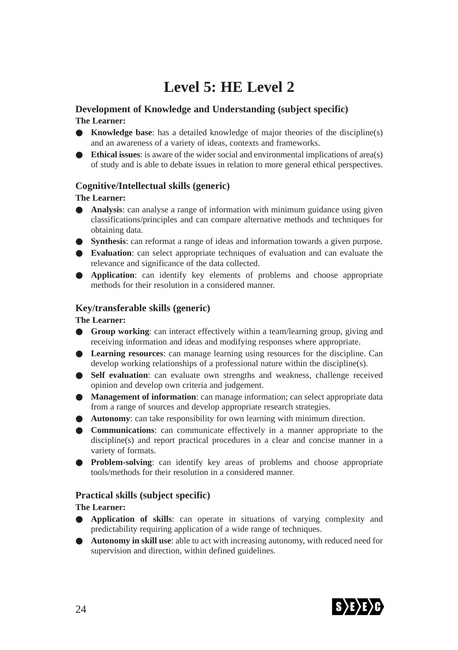# **Level 5: HE Level 2**

## **Development of Knowledge and Understanding (subject specific) The Learner:**

- **Knowledge base**: has a detailed knowledge of major theories of the discipline(s) and an awareness of a variety of ideas, contexts and frameworks.
- **Ethical issues**: is aware of the wider social and environmental implications of area(s) of study and is able to debate issues in relation to more general ethical perspectives.

#### **Cognitive/Intellectual skills (generic)**

**The Learner:**

- **Analysis:** can analyse a range of information with minimum guidance using given classifications/principles and can compare alternative methods and techniques for obtaining data.
- **Synthesis**: can reformat a range of ideas and information towards a given purpose.
- **Evaluation**: can select appropriate techniques of evaluation and can evaluate the relevance and significance of the data collected.
- **Application**: can identify key elements of problems and choose appropriate methods for their resolution in a considered manner.

#### **Key/transferable skills (generic)**

**The Learner:**

- **Group working**: can interact effectively within a team/learning group, giving and receiving information and ideas and modifying responses where appropriate.
- **Learning resources**: can manage learning using resources for the discipline. Can develop working relationships of a professional nature within the discipline(s).
- Self evaluation: can evaluate own strengths and weakness, challenge received opinion and develop own criteria and judgement.
- **Management of information**: can manage information; can select appropriate data from a range of sources and develop appropriate research strategies.
- **Autonomy**: can take responsibility for own learning with minimum direction.
- **Communications**: can communicate effectively in a manner appropriate to the discipline(s) and report practical procedures in a clear and concise manner in a variety of formats.
- **Problem-solving**: can identify key areas of problems and choose appropriate tools/methods for their resolution in a considered manner.

#### **Practical skills (subject specific)**

- **Application of skills**: can operate in situations of varying complexity and predictability requiring application of a wide range of techniques.
- **Autonomy in skill use**: able to act with increasing autonomy, with reduced need for supervision and direction, within defined guidelines.

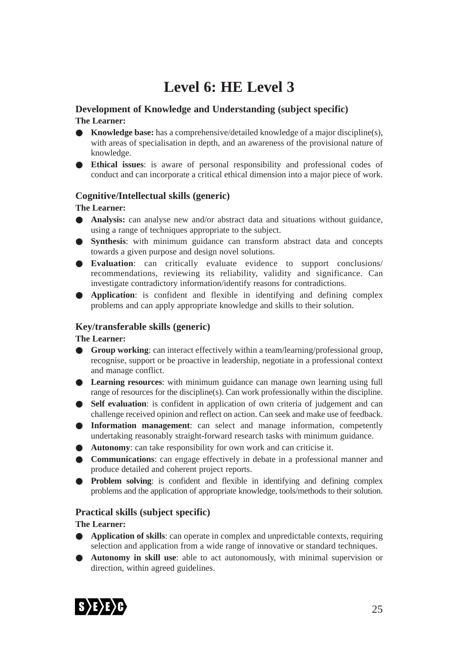# **Level 6: HE Level 3**

## **Development of Knowledge and Understanding (subject specific) The Learner:**

- **Knowledge base:** has a comprehensive/detailed knowledge of a major discipline(s), with areas of specialisation in depth, and an awareness of the provisional nature of knowledge.
- Ethical issues: is aware of personal responsibility and professional codes of conduct and can incorporate a critical ethical dimension into a major piece of work.

#### **Cognitive/Intellectual skills (generic)**

#### **The Learner:**

- **Analysis:** can analyse new and/or abstract data and situations without guidance, using a range of techniques appropriate to the subject.
- **Synthesis**: with minimum guidance can transform abstract data and concepts towards a given purpose and design novel solutions.
- **Evaluation**: can critically evaluate evidence to support conclusions/ recommendations, reviewing its reliability, validity and significance. Can investigate contradictory information/identify reasons for contradictions.
- **Application**: is confident and flexible in identifying and defining complex problems and can apply appropriate knowledge and skills to their solution.

#### **Key/transferable skills (generic)**

#### **The Learner:**

- **Group working**: can interact effectively within a team/learning/professional group, recognise, support or be proactive in leadership, negotiate in a professional context and manage conflict.
- **Learning resources**: with minimum guidance can manage own learning using full range of resources for the discipline(s). Can work professionally within the discipline.
- **Self evaluation**: is confident in application of own criteria of judgement and can challenge received opinion and reflect on action. Can seek and make use of feedback.
- **Information management**: can select and manage information, competently undertaking reasonably straight-forward research tasks with minimum guidance.
- **Autonomy**: can take responsibility for own work and can criticise it.
- **Communications**: can engage effectively in debate in a professional manner and produce detailed and coherent project reports.
- **Problem solving**: is confident and flexible in identifying and defining complex problems and the application of appropriate knowledge, tools/methods to their solution.

#### **Practical skills (subject specific)**

- **Application of skills**: can operate in complex and unpredictable contexts, requiring selection and application from a wide range of innovative or standard techniques.
- **Autonomy in skill use**: able to act autonomously, with minimal supervision or direction, within agreed guidelines.

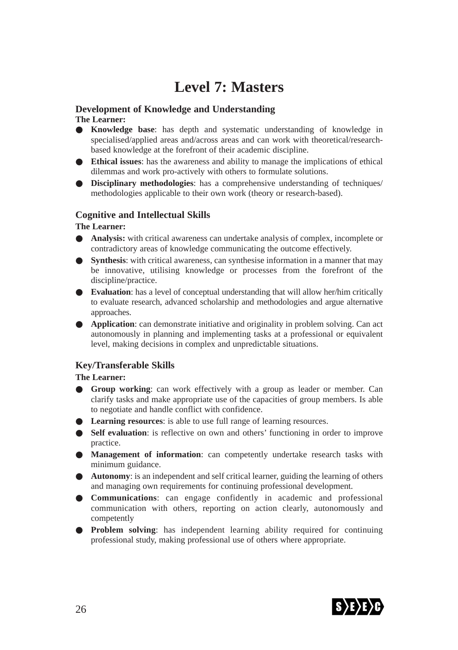# **Level 7: Masters**

# **Development of Knowledge and Understanding**

### **The Learner:**

- **Knowledge base**: has depth and systematic understanding of knowledge in specialised/applied areas and/across areas and can work with theoretical/researchbased knowledge at the forefront of their academic discipline.
- **Ethical issues**: has the awareness and ability to manage the implications of ethical dilemmas and work pro-actively with others to formulate solutions.
- **Disciplinary methodologies**: has a comprehensive understanding of techniques/ methodologies applicable to their own work (theory or research-based).

#### **Cognitive and Intellectual Skills**

#### **The Learner:**

- **Analysis:** with critical awareness can undertake analysis of complex, incomplete or contradictory areas of knowledge communicating the outcome effectively.
- **Synthesis**: with critical awareness, can synthesise information in a manner that may be innovative, utilising knowledge or processes from the forefront of the discipline/practice.
- **Evaluation**: has a level of conceptual understanding that will allow her/him critically to evaluate research, advanced scholarship and methodologies and argue alternative approaches.
- **Application**: can demonstrate initiative and originality in problem solving. Can act autonomously in planning and implementing tasks at a professional or equivalent level, making decisions in complex and unpredictable situations.

### **Key/Transferable Skills**

- **Group working**: can work effectively with a group as leader or member. Can clarify tasks and make appropriate use of the capacities of group members. Is able to negotiate and handle conflict with confidence.
- **Learning resources**: is able to use full range of learning resources.
- **Self evaluation**: is reflective on own and others' functioning in order to improve practice.
- **Management of information**: can competently undertake research tasks with minimum guidance.
- **Autonomy**: is an independent and self critical learner, guiding the learning of others and managing own requirements for continuing professional development.
- **Communications**: can engage confidently in academic and professional communication with others, reporting on action clearly, autonomously and competently
- **Problem solving**: has independent learning ability required for continuing professional study, making professional use of others where appropriate.

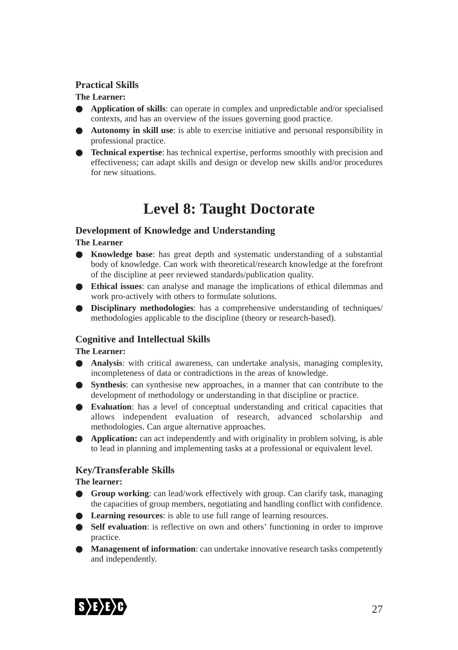#### **Practical Skills**

#### **The Learner:**

- **Application of skills**: can operate in complex and unpredictable and/or specialised contexts, and has an overview of the issues governing good practice.
- **Autonomy in skill use**: is able to exercise initiative and personal responsibility in professional practice.
- **Technical expertise**: has technical expertise, performs smoothly with precision and effectiveness; can adapt skills and design or develop new skills and/or procedures for new situations.

# **Level 8: Taught Doctorate**

## **Development of Knowledge and Understanding**

#### **The Learner**

- **Knowledge base**: has great depth and systematic understanding of a substantial body of knowledge. Can work with theoretical/research knowledge at the forefront of the discipline at peer reviewed standards/publication quality.
- **Ethical issues**: can analyse and manage the implications of ethical dilemmas and work pro-actively with others to formulate solutions.
- **Disciplinary methodologies**: has a comprehensive understanding of techniques/ methodologies applicable to the discipline (theory or research-based).

### **Cognitive and Intellectual Skills**

## **The Learner:**

- **Analysis**: with critical awareness, can undertake analysis, managing complexity, incompleteness of data or contradictions in the areas of knowledge.
- **Synthesis:** can synthesise new approaches, in a manner that can contribute to the development of methodology or understanding in that discipline or practice.
- **Evaluation**: has a level of conceptual understanding and critical capacities that allows independent evaluation of research, advanced scholarship and methodologies. Can argue alternative approaches.
- **Application:** can act independently and with originality in problem solving, is able to lead in planning and implementing tasks at a professional or equivalent level.

### **Key/Transferable Skills**

- **Group working**: can lead/work effectively with group. Can clarify task, managing the capacities of group members, negotiating and handling conflict with confidence.
- **Learning resources**: is able to use full range of learning resources.
- **Self evaluation**: is reflective on own and others' functioning in order to improve practice.
- **Management of information**: can undertake innovative research tasks competently and independently.

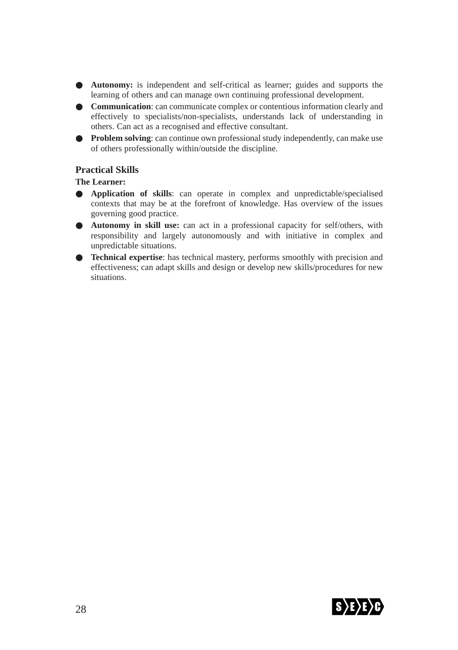- **Autonomy:** is independent and self-critical as learner; guides and supports the learning of others and can manage own continuing professional development.
- **Communication**: can communicate complex or contentious information clearly and effectively to specialists/non-specialists, understands lack of understanding in others. Can act as a recognised and effective consultant.
- **Problem solving**: can continue own professional study independently, can make use of others professionally within/outside the discipline.

#### **Practical Skills**

- **Application of skills**: can operate in complex and unpredictable/specialised contexts that may be at the forefront of knowledge. Has overview of the issues governing good practice.
- **Autonomy in skill use:** can act in a professional capacity for self/others, with responsibility and largely autonomously and with initiative in complex and unpredictable situations.
- Technical expertise: has technical mastery, performs smoothly with precision and effectiveness; can adapt skills and design or develop new skills/procedures for new situations.

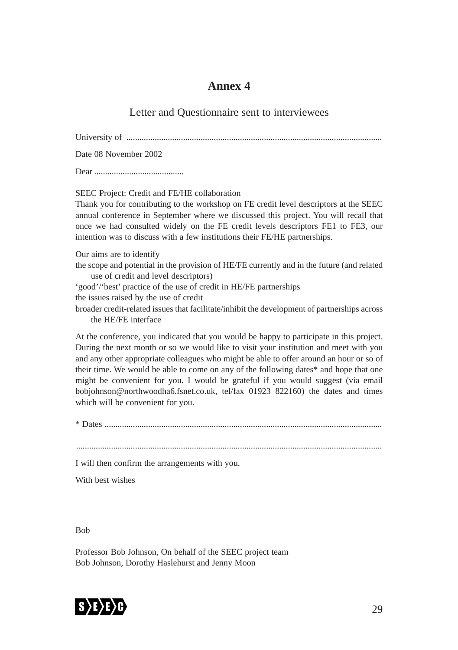## Letter and Questionnaire sent to interviewees

University of .....................................................................................................................

Date 08 November 2002

Dear .........................................

SEEC Project: Credit and FE/HE collaboration

Thank you for contributing to the workshop on FE credit level descriptors at the SEEC annual conference in September where we discussed this project. You will recall that once we had consulted widely on the FE credit levels descriptors FE1 to FE3, our intention was to discuss with a few institutions their FE/HE partnerships.

Our aims are to identify

the scope and potential in the provision of HE/FE currently and in the future (and related use of credit and level descriptors)

'good'/'best' practice of the use of credit in HE/FE partnerships

the issues raised by the use of credit

broader credit-related issues that facilitate/inhibit the development of partnerships across the HE/FE interface

At the conference, you indicated that you would be happy to participate in this project. During the next month or so we would like to visit your institution and meet with you and any other appropriate colleagues who might be able to offer around an hour or so of their time. We would be able to come on any of the following dates\* and hope that one might be convenient for you. I would be grateful if you would suggest (via email bobjohnson@northwoodha6.fsnet.co.uk, tel/fax 01923 822160) the dates and times which will be convenient for you.

\* Dates ...............................................................................................................................

............................................................................................................................................

I will then confirm the arrangements with you.

With best wishes

Bob

Professor Bob Johnson, On behalf of the SEEC project team Bob Johnson, Dorothy Haslehurst and Jenny Moon

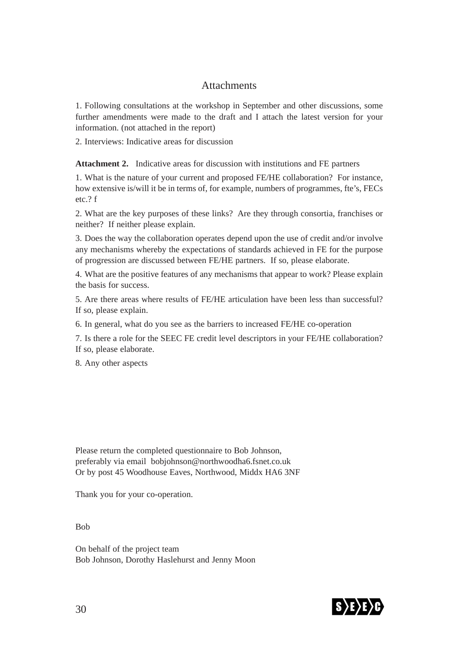## Attachments

1. Following consultations at the workshop in September and other discussions, some further amendments were made to the draft and I attach the latest version for your information. (not attached in the report)

2. Interviews: Indicative areas for discussion

**Attachment 2.** Indicative areas for discussion with institutions and FE partners

1. What is the nature of your current and proposed FE/HE collaboration? For instance, how extensive is/will it be in terms of, for example, numbers of programmes, fte's, FECs etc.? f

2. What are the key purposes of these links? Are they through consortia, franchises or neither? If neither please explain.

3. Does the way the collaboration operates depend upon the use of credit and/or involve any mechanisms whereby the expectations of standards achieved in FE for the purpose of progression are discussed between FE/HE partners. If so, please elaborate.

4. What are the positive features of any mechanisms that appear to work? Please explain the basis for success.

5. Are there areas where results of FE/HE articulation have been less than successful? If so, please explain.

6. In general, what do you see as the barriers to increased FE/HE co-operation

7. Is there a role for the SEEC FE credit level descriptors in your FE/HE collaboration? If so, please elaborate.

8. Any other aspects

Please return the completed questionnaire to Bob Johnson, preferably via email bobjohnson@northwoodha6.fsnet.co.uk Or by post 45 Woodhouse Eaves, Northwood, Middx HA6 3NF

Thank you for your co-operation.

Bob

On behalf of the project team Bob Johnson, Dorothy Haslehurst and Jenny Moon